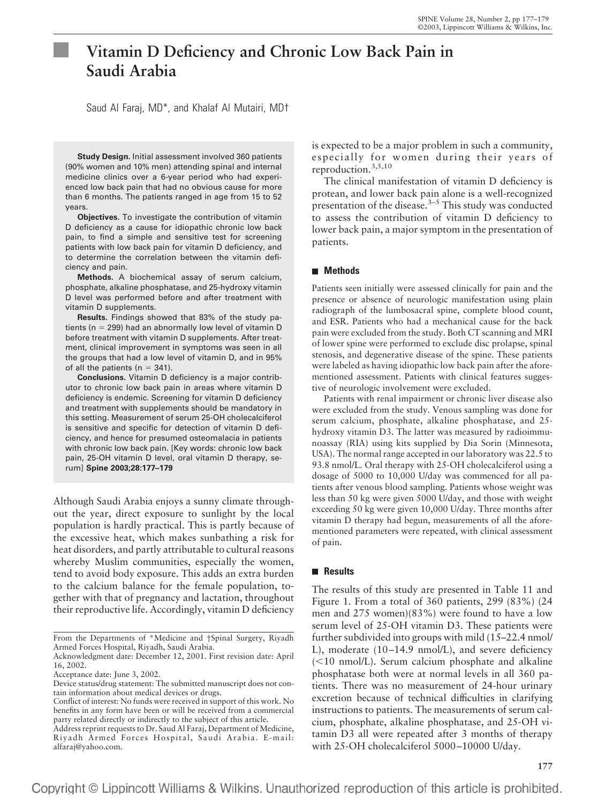# **Vitamin D Deficiency and Chronic Low Back Pain in Saudi Arabia**

Saud Al Faraj, MD\*, and Khalaf Al Mutairi, MD†

**Study Design.** Initial assessment involved 360 patients (90% women and 10% men) attending spinal and internal medicine clinics over a 6-year period who had experienced low back pain that had no obvious cause for more than 6 months. The patients ranged in age from 15 to 52 years.

**Objectives.** To investigate the contribution of vitamin D deficiency as a cause for idiopathic chronic low back pain, to find a simple and sensitive test for screening patients with low back pain for vitamin D deficiency, and to determine the correlation between the vitamin deficiency and pain.

**Methods.** A biochemical assay of serum calcium, phosphate, alkaline phosphatase, and 25-hydroxy vitamin D level was performed before and after treatment with vitamin D supplements.

**Results.** Findings showed that 83% of the study patients ( $n = 299$ ) had an abnormally low level of vitamin D before treatment with vitamin D supplements. After treatment, clinical improvement in symptoms was seen in all the groups that had a low level of vitamin D, and in 95% of all the patients ( $n = 341$ ).

**Conclusions.** Vitamin D deficiency is a major contributor to chronic low back pain in areas where vitamin D deficiency is endemic. Screening for vitamin D deficiency and treatment with supplements should be mandatory in this setting. Measurement of serum 25-OH cholecalciferol is sensitive and specific for detection of vitamin D deficiency, and hence for presumed osteomalacia in patients with chronic low back pain. [Key words: chronic low back pain, 25-OH vitamin D level, oral vitamin D therapy, serum] **Spine 2003;28:177–179**

Although Saudi Arabia enjoys a sunny climate throughout the year, direct exposure to sunlight by the local population is hardly practical. This is partly because of the excessive heat, which makes sunbathing a risk for heat disorders, and partly attributable to cultural reasons whereby Muslim communities, especially the women, tend to avoid body exposure. This adds an extra burden to the calcium balance for the female population, together with that of pregnancy and lactation, throughout their reproductive life. Accordingly, vitamin D deficiency

is expected to be a major problem in such a community, especially for women during their years of reproduction.3,5,10

The clinical manifestation of vitamin D deficiency is protean, and lower back pain alone is a well-recognized presentation of the disease. $3-5$  This study was conducted to assess the contribution of vitamin D deficiency to lower back pain, a major symptom in the presentation of patients.

## **Methods**

Patients seen initially were assessed clinically for pain and the presence or absence of neurologic manifestation using plain radiograph of the lumbosacral spine, complete blood count, and ESR. Patients who had a mechanical cause for the back pain were excluded from the study. Both CT scanning and MRI of lower spine were performed to exclude disc prolapse, spinal stenosis, and degenerative disease of the spine. These patients were labeled as having idiopathic low back pain after the aforementioned assessment. Patients with clinical features suggestive of neurologic involvement were excluded.

Patients with renal impairment or chronic liver disease also were excluded from the study. Venous sampling was done for serum calcium, phosphate, alkaline phosphatase, and 25 hydroxy vitamin D3. The latter was measured by radioimmunoassay (RIA) using kits supplied by Dia Sorin (Minnesota, USA). The normal range accepted in our laboratory was 22.5 to 93.8 nmol/L. Oral therapy with 25-OH cholecalciferol using a dosage of 5000 to 10,000 U/day was commenced for all patients after venous blood sampling. Patients whose weight was less than 50 kg were given 5000 U/day, and those with weight exceeding 50 kg were given 10,000 U/day. Three months after vitamin D therapy had begun, measurements of all the aforementioned parameters were repeated, with clinical assessment of pain.

## **Results**

The results of this study are presented in Table 11 and Figure 1. From a total of 360 patients, 299 (83%) (24 men and 275 women)(83%) were found to have a low serum level of 25-OH vitamin D3. These patients were further subdivided into groups with mild (15–22.4 nmol/ L), moderate (10–14.9 nmol/L), and severe deficiency (<10 nmol/L). Serum calcium phosphate and alkaline phosphatase both were at normal levels in all 360 patients. There was no measurement of 24-hour urinary excretion because of technical difficulties in clarifying instructions to patients. The measurements of serum calcium, phosphate, alkaline phosphatase, and 25-OH vitamin D3 all were repeated after 3 months of therapy with 25-OH cholecalciferol 5000–10000 U/day.

From the Departments of \*Medicine and †Spinal Surgery, Riyadh Armed Forces Hospital, Riyadh, Saudi Arabia.

Acknowledgment date: December 12, 2001. First revision date: April 16, 2002.

Acceptance date: June 3, 2002.

Device status/drug statement: The submitted manuscript does not contain information about medical devices or drugs.

Conflict of interest: No funds were received in support of this work. No benefits in any form have been or will be received from a commercial party related directly or indirectly to the subject of this article.

Address reprint requests to Dr. Saud Al Faraj, Department of Medicine, Riyadh Armed Forces Hospital, Saudi Arabia. E-mail: alfaraj@yahoo.com.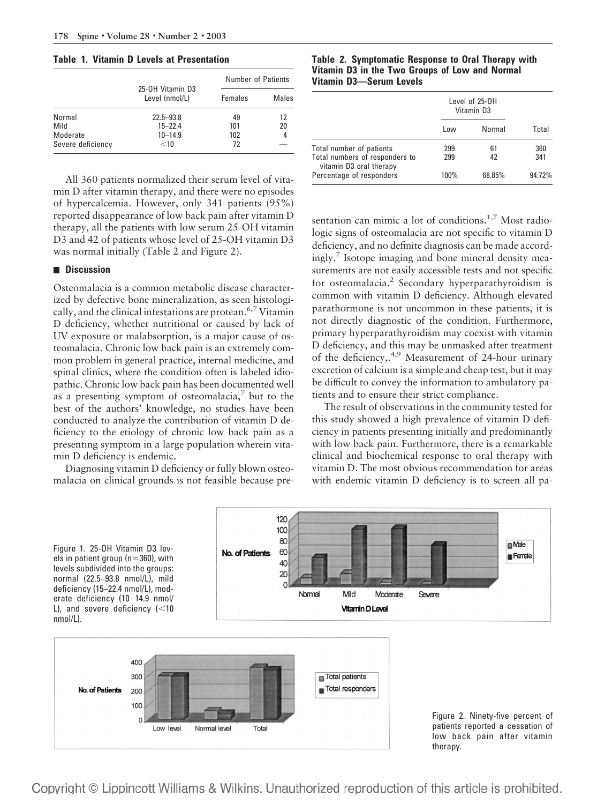#### **Table 1. Vitamin D Levels at Presentation**

|                   |                                    | <b>Number of Patients</b> |       |
|-------------------|------------------------------------|---------------------------|-------|
|                   | 25-0H Vitamin D3<br>Level (nmol/L) | Females                   | Males |
| Normal            | $22.5 - 93.8$                      | 49                        | 12    |
| Mild              | $15 - 22.4$                        | 101                       | 20    |
| Moderate          | $10 - 14.9$                        | 102                       | 4     |
| Severe deficiency | $<$ 10                             | 72                        |       |

All 360 patients normalized their serum level of vitamin D after vitamin therapy, and there were no episodes of hypercalcemia. However, only 341 patients (95%) reported disappearance of low back pain after vitamin D therapy, all the patients with low serum 25-OH vitamin D3 and 42 of patients whose level of 25-OH vitamin D3 was normal initially (Table 2 and Figure 2).

#### **Discussion**

Osteomalacia is a common metabolic disease characterized by defective bone mineralization, as seen histologically, and the clinical infestations are protean.  $6.7$  Vitamin D deficiency, whether nutritional or caused by lack of UV exposure or malabsorption, is a major cause of osteomalacia. Chronic low back pain is an extremely common problem in general practice, internal medicine, and spinal clinics, where the condition often is labeled idiopathic. Chronic low back pain has been documented well as a presenting symptom of osteomalacia, $\bar{z}$  but to the best of the authors' knowledge, no studies have been conducted to analyze the contribution of vitamin D deficiency to the etiology of chronic low back pain as a presenting symptom in a large population wherein vitamin D deficiency is endemic.

Diagnosing vitamin D deficiency or fully blown osteomalacia on clinical grounds is not feasible because pre**Table 2. Symptomatic Response to Oral Therapy with Vitamin D3 in the Two Groups of Low and Normal Vitamin D3—Serum Levels**

|                                                                                       | Level of 25-0H<br>Vitamin D3 |          |            |
|---------------------------------------------------------------------------------------|------------------------------|----------|------------|
|                                                                                       | Low                          | Normal   | Total      |
| Total number of patients<br>Total numbers of responders to<br>vitamin D3 oral therapy | 299<br>299                   | 61<br>42 | 360<br>341 |
| Percentage of responders                                                              | 100%                         | 68.85%   | 94.72%     |

sentation can mimic a lot of conditions.<sup>1,7</sup> Most radiologic signs of osteomalacia are not specific to vitamin D deficiency, and no definite diagnosis can be made accordingly.7 Isotope imaging and bone mineral density measurements are not easily accessible tests and not specific for osteomalacia.<sup>2</sup> Secondary hyperparathyroidism is common with vitamin D deficiency. Although elevated parathormone is not uncommon in these patients, it is not directly diagnostic of the condition. Furthermore, primary hyperparathyroidism may coexist with vitamin D deficiency, and this may be unmasked after treatment of the deficiency,.4,9 Measurement of 24-hour urinary excretion of calcium is a simple and cheap test, but it may be difficult to convey the information to ambulatory patients and to ensure their strict compliance.

The result of observations in the community tested for this study showed a high prevalence of vitamin D deficiency in patients presenting initially and predominantly with low back pain. Furthermore, there is a remarkable clinical and biochemical response to oral therapy with vitamin D. The most obvious recommendation for areas with endemic vitamin D deficiency is to screen all pa-



Copyright © Lippincott Williams & Wilkins. Unauthorized reproduction of this article is prohibited.